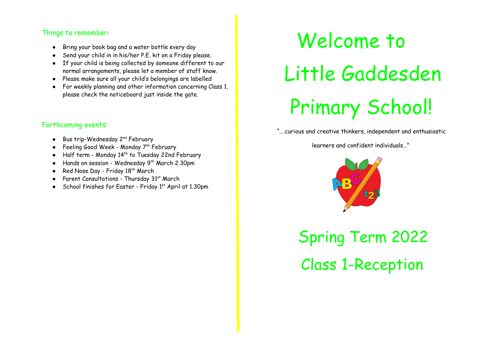### Things to remember:

- Bring your book bag and a water bottle every day
- Send your child in in his/her P.E. kit on a Friday please.
- If your child is being collected by someone different to our normal arrangements, please let a member of staff know.
- Please make sure all your child's belongings are labelled
- For weekly planning and other information concerning Class 1, please check the noticeboard just inside the gate.

## Forthcoming events:

- Bus trip-Wednesday 2<sup>nd</sup> February
- Feeling Good Week Monday 7<sup>th</sup> February
- $\bullet$  Half term Monday 14<sup>th</sup> to Tuesday 22nd February
- Hands on session Wednesday  $9^{th}$  March 2.30pm
- Red Nose Day Friday  $18^{th}$  March
- Parent Consultations Thursday 31<sup>st</sup> March
- School finishes for Easter Friday  $1<sup>st</sup>$  April at 1.30pm

# Welcome to Little Gaddesden Primary School!

"….curious and creative thinkers, independent and enthusiastic

learners and confident individuals…"



Spring Term 2022 Class 1-Reception